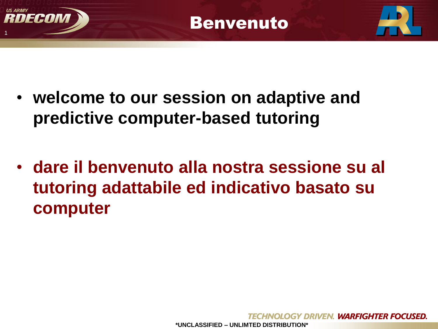





- **welcome to our session on adaptive and predictive computer-based tutoring**
- **dare il benvenuto alla nostra sessione su al tutoring adattabile ed indicativo basato su computer**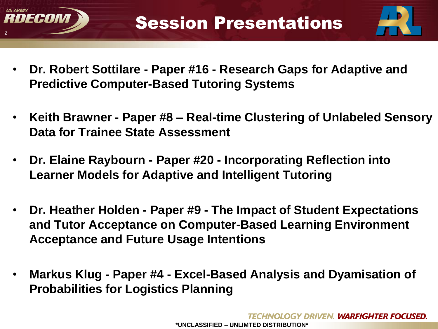



- **Dr. Robert Sottilare - Paper #16 - Research Gaps for Adaptive and Predictive Computer-Based Tutoring Systems**
- **Keith Brawner - Paper #8 – Real-time Clustering of Unlabeled Sensory Data for Trainee State Assessment**
- **Dr. Elaine Raybourn - Paper #20 - Incorporating Reflection into Learner Models for Adaptive and Intelligent Tutoring**
- **Dr. Heather Holden - Paper #9 - The Impact of Student Expectations and Tutor Acceptance on Computer-Based Learning Environment Acceptance and Future Usage Intentions**
- **Markus Klug - Paper #4 - Excel-Based Analysis and Dyamisation of Probabilities for Logistics Planning**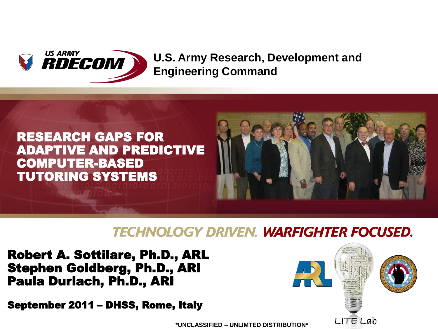

#### **U.S. Army Research, Development and Engineering Command**



#### **TECHNOLOGY DRIVEN. WARFIGHTER FOCUSED.**

Robert A. Sottilare, Ph.D., ARL Stephen Goldberg, Ph.D., ARI Paula Durlach, Ph.D., ARI

September 2011 – DHSS, Rome, Italy

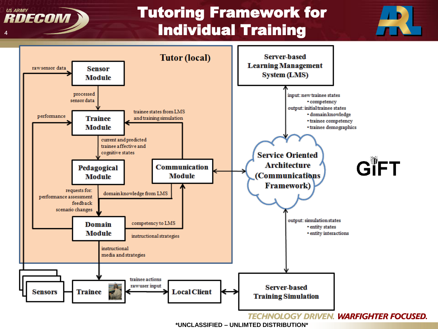

## Tutoring Framework for Individual Training



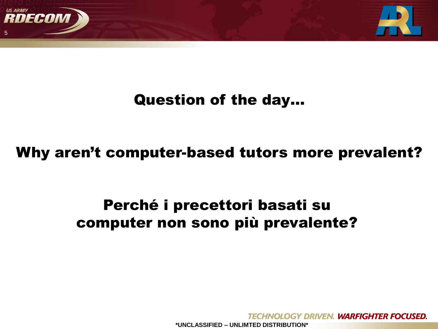

## Question of the day…

#### Why aren't computer-based tutors more prevalent?

## Perché i precettori basati su computer non sono più prevalente?

**HNOLOGY DRIVEN. WARFIGHTER FOCUSED.**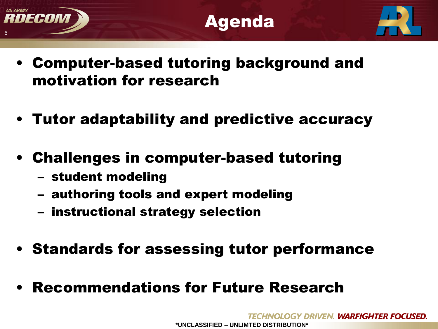



- Computer-based tutoring background and motivation for research
- Tutor adaptability and predictive accuracy
- Challenges in computer-based tutoring
	- student modeling
	- authoring tools and expert modeling
	- instructional strategy selection
- Standards for assessing tutor performance
- Recommendations for Future Research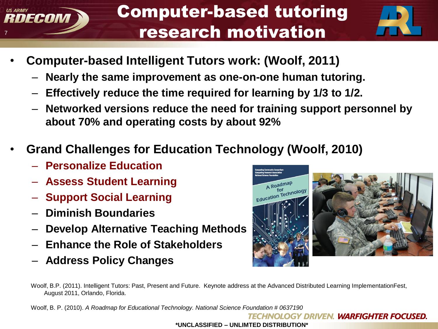## Computer-based tutoring research motivation



- **Computer-based Intelligent Tutors work: (Woolf, 2011)**
	- **Nearly the same improvement as one-on-one human tutoring.**
	- **Effectively reduce the time required for learning by 1/3 to 1/2.**
	- **Networked versions reduce the need for training support personnel by about 70% and operating costs by about 92%**
- **Grand Challenges for Education Technology (Woolf, 2010)**
	- **Personalize Education**

7

**US ARMY** 

DECOM

- **Assess Student Learning**
- **Support Social Learning**
- **Diminish Boundaries**
- **Develop Alternative Teaching Methods**
- **Enhance the Role of Stakeholders**
- **Address Policy Changes**



Woolf, B.P. (2011). Intelligent Tutors: Past, Present and Future. Keynote address at the Advanced Distributed Learning ImplementationFest, August 2011, Orlando, Florida.

Woolf, B. P. (2010). *A Roadmap for Educational Technology. National Science Foundation # 0637190*

**TECHNOLOGY DRIVEN. WARFIGHTER FOCUSED.**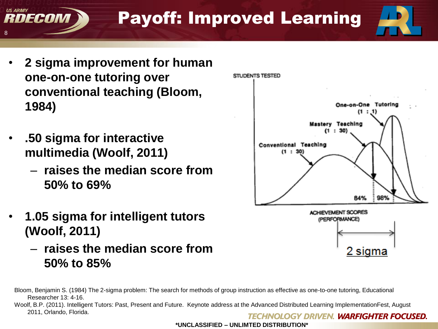Payoff: Improved Learning

- **2 sigma improvement for human one-on-one tutoring over conventional teaching (Bloom, 1984)**
- **.50 sigma for interactive multimedia (Woolf, 2011)**

8

**US ARMY** 

DECOM

- **raises the median score from 50% to 69%**
- **1.05 sigma for intelligent tutors (Woolf, 2011)**
	- **raises the median score from 50% to 85%**



Woolf, B.P. (2011). Intelligent Tutors: Past, Present and Future. Keynote address at the Advanced Distributed Learning ImplementationFest, August 2011, Orlando, Florida.**TECHNOLOGY DRIVEN. WARFIGHTER FOCUSED.** 

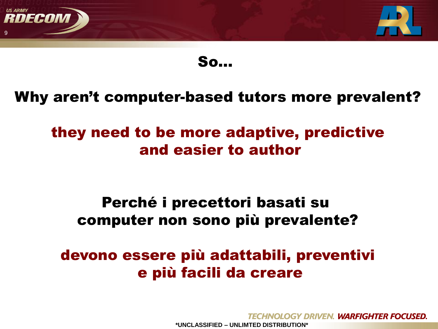

So…

#### Why aren't computer-based tutors more prevalent?

## they need to be more adaptive, predictive and easier to author

#### Perché i precettori basati su computer non sono più prevalente?

## devono essere più adattabili, preventivi e più facili da creare

HNOLOGY DRIVEN. WARFIGHTER FOCUSED. **\*UNCLASSIFIED – UNLIMTED DISTRIBUTION\***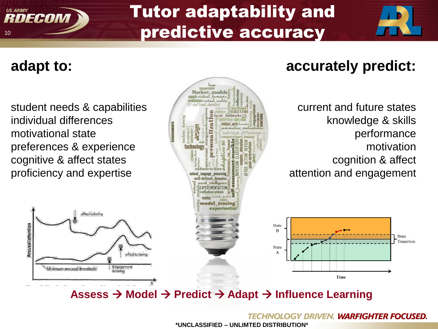## Tutor adaptability and predictive accuracy

#### **adapt to:**

Arousal/attention

NFCAN

10

**US ARMY** 

student needs & capabilities individual differences motivational state preferences & experience cognitive & affect states proficiency and expertise

affect tailoring

Minimum arousal threshold

affect tailoring

Engagement

tailoring



## **accurately predict:**

current and future states knowledge & skills performance motivation cognition & affect attention and engagement



#### **Assess → Model → Predict → Adapt → Influence Learning**

**TECHNOLOGY DRIVEN. WARFIGHTER FOCUSED.**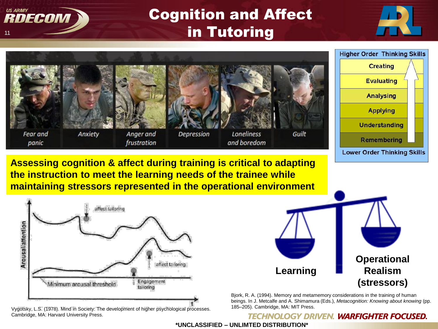

## Cognition and Affect in Tutoring







185–205). Cambridge, MA: MIT Press. Vygotsky, L.S. (1978). Mind in Society: The development of higher psychological processes. Cambridge, MA: Harvard University Press.

**Learning Operational Realism (stressors)**

Bjork, R. A. (1994). Memory and metamemory considerations in the training of human beings. In J. Metcalfe and A. Shimamura (Eds.), *Metacognition: Knowing about knowing* (pp.

#### **TECHNOLOGY DRIVEN. WARFIGHTER FOCUSED.**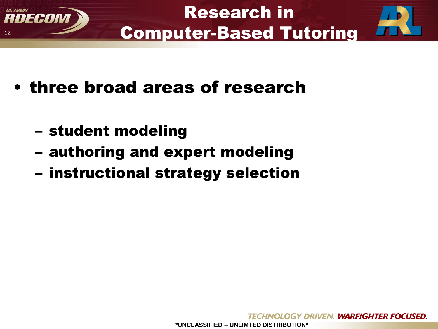

- three broad areas of research
	- student modeling

12

IFANNI

- authoring and expert modeling
- instructional strategy selection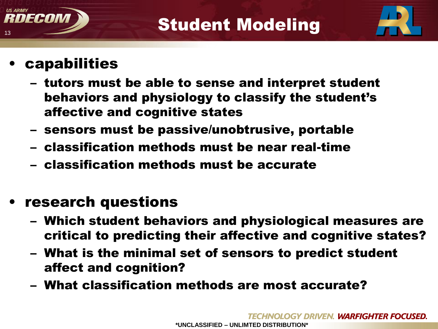



**capabilities** 

13

**US ARMY** 

IFANI

- tutors must be able to sense and interpret student behaviors and physiology to classify the student's affective and cognitive states
- sensors must be passive/unobtrusive, portable
- classification methods must be near real-time
- classification methods must be accurate
- research questions
	- Which student behaviors and physiological measures are critical to predicting their affective and cognitive states?
	- What is the minimal set of sensors to predict student affect and cognition?
	- What classification methods are most accurate?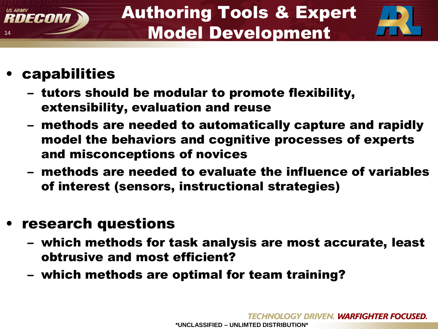



## • capabilities

14

RDECOM

- tutors should be modular to promote flexibility, extensibility, evaluation and reuse
- methods are needed to automatically capture and rapidly model the behaviors and cognitive processes of experts and misconceptions of novices
- methods are needed to evaluate the influence of variables of interest (sensors, instructional strategies)

## • research questions

- which methods for task analysis are most accurate, least obtrusive and most efficient?
- which methods are optimal for team training?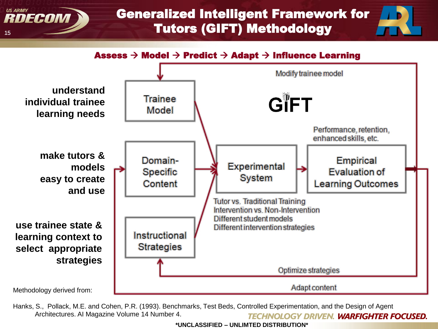#### Generalized Intelligent Framework for Tutors (GIFT) Methodology

Assess  $\rightarrow$  Model  $\rightarrow$  Predict  $\rightarrow$  Adapt  $\rightarrow$  Influence Learning

15

**US ARMY** 

RDECON



Hanks, S., Pollack, M.E. and Cohen, P.R. (1993). Benchmarks, Test Beds, Controlled Experimentation, and the Design of Agent Architectures. AI Magazine Volume 14 Number 4. **TECHNOLOGY DRIVEN. WARFIGHTER FOCUSED.**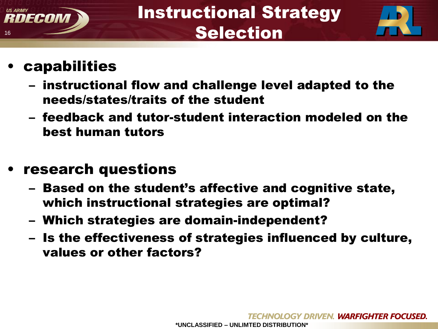



## **capabilities**

- instructional flow and challenge level adapted to the needs/states/traits of the student
- feedback and tutor-student interaction modeled on the best human tutors

#### • research questions

- Based on the student's affective and cognitive state, which instructional strategies are optimal?
- Which strategies are domain-independent?
- Is the effectiveness of strategies influenced by culture, values or other factors?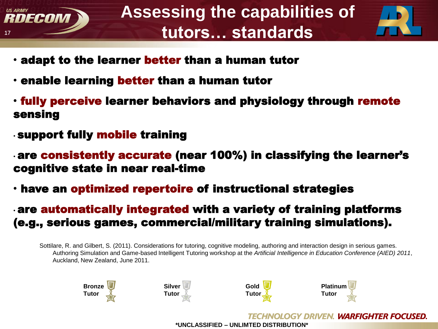



- adapt to the learner better than a human tutor
- enable learning better than a human tutor
- fully perceive learner behaviors and physiology through remote sensing
- support fully mobile training
- are consistently accurate (near 100%) in classifying the learner's cognitive state in near real-time
- have an optimized repertoire of instructional strategies
- are automatically integrated with a variety of training platforms (e.g., serious games, commercial/military training simulations).

Sottilare, R. and Gilbert, S. (2011). Considerations for tutoring, cognitive modeling, authoring and interaction design in serious games. Authoring Simulation and Game-based Intelligent Tutoring workshop at the *Artificial Intelligence in Education Conference (AIED) 2011*, Auckland, New Zealand, June 2011.

<span id="page-16-0"></span>



**TECHNOLOGY DRIVEN. WARFIGHTER FOCUSED.**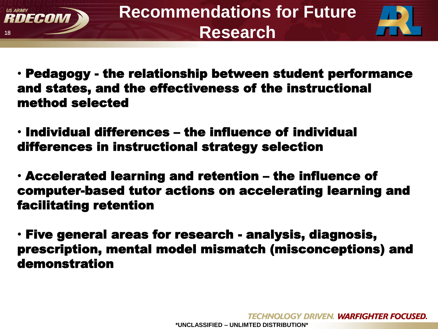



- Pedagogy the relationship between student performance and states, and the effectiveness of the instructional method selected
- Individual differences the influence of individual differences in instructional strategy selection
- Accelerated learning and retention the influence of computer-based tutor actions on accelerating learning and facilitating retention
- Five general areas for research analysis, diagnosis, prescription, mental model mismatch (misconceptions) and demonstration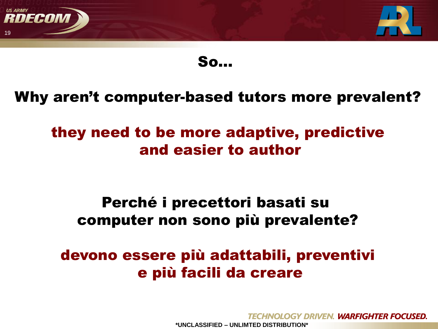

So…

#### Why aren't computer-based tutors more prevalent?

## they need to be more adaptive, predictive and easier to author

#### Perché i precettori basati su computer non sono più prevalente?

## devono essere più adattabili, preventivi e più facili da creare

HNOLOGY DRIVEN. WARFIGHTER FOCUSED. **\*UNCLASSIFIED – UNLIMTED DISTRIBUTION\***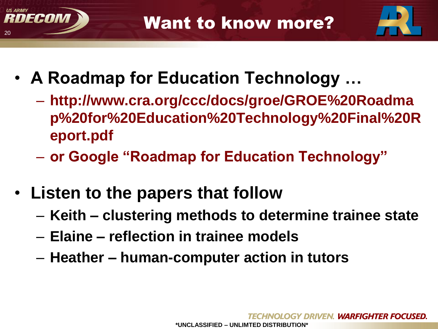



- **A Roadmap for Education Technology …** 
	- **http://www.cra.org/ccc/docs/groe/GROE%20Roadma p%20for%20Education%20Technology%20Final%20R eport.pdf**
	- **or Google "Roadmap for Education Technology"**
- **Listen to the papers that follow**
	- **Keith – clustering methods to determine trainee state**
	- **Elaine – reflection in trainee models**
	- **Heather – human-computer action in tutors**